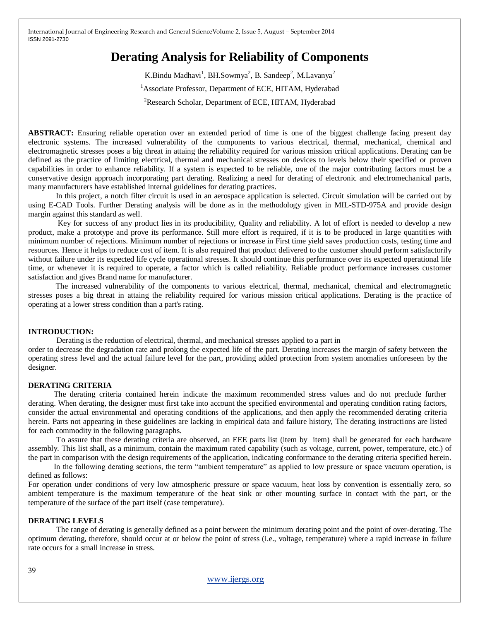# **Derating Analysis for Reliability of Components**

K.Bindu Madhavi<sup>1</sup>, BH.Sowmya<sup>2</sup>, B. Sandeep<sup>2</sup>, M.Lavanya<sup>2</sup> <sup>1</sup>Associate Professor, Department of ECE, HITAM, Hyderabad <sup>2</sup>Research Scholar, Department of ECE, HITAM, Hyderabad

**ABSTRACT:** Ensuring reliable operation over an extended period of time is one of the biggest challenge facing present day electronic systems. The increased vulnerability of the components to various electrical, thermal, mechanical, chemical and electromagnetic stresses poses a big threat in attaing the reliability required for various mission critical applications. Derating can be defined as the practice of limiting electrical, thermal and mechanical stresses on devices to levels below their specified or proven capabilities in order to enhance reliability. If a system is expected to be reliable, one of the major contributing factors must be a conservative design approach incorporating part derating. Realizing a need for derating of electronic and electromechanical parts, many manufacturers have established internal guidelines for derating practices.

 In this project, a notch filter circuit is used in an aerospace application is selected. Circuit simulation will be carried out by using E-CAD Tools. Further Derating analysis will be done as in the methodology given in MIL-STD-975A and provide design margin against this standard as well.

 Key for success of any product lies in its producibility, Quality and reliability. A lot of effort is needed to develop a new product, make a prototype and prove its performance. Still more effort is required, if it is to be produced in large quantities with minimum number of rejections. Minimum number of rejections or increase in First time yield saves production costs, testing time and resources. Hence it helps to reduce cost of item. It is also required that product delivered to the customer should perform satisfactorily without failure under its expected life cycle operational stresses. It should continue this performance over its expected operational life time, or whenever it is required to operate, a factor which is called reliability. Reliable product performance increases customer satisfaction and gives Brand name for manufacturer.

 The increased vulnerability of the components to various electrical, thermal, mechanical, chemical and electromagnetic stresses poses a big threat in attaing the reliability required for various mission critical applications. Derating is the practice of operating at a lower stress condition than a part's rating.

## **INTRODUCTION:**

Derating is the reduction of electrical, thermal, and mechanical stresses applied to a part in order to decrease the degradation rate and prolong the expected life of the part. Derating increases the margin of safety between the operating stress level and the actual failure level for the part, providing added protection from system anomalies unforeseen by the designer.

### **DERATING CRITERIA**

 The derating criteria contained herein indicate the maximum recommended stress values and do not preclude further derating. When derating, the designer must first take into account the specified environmental and operating condition rating factors, consider the actual environmental and operating conditions of the applications, and then apply the recommended derating criteria herein. Parts not appearing in these guidelines are lacking in empirical data and failure history, The derating instructions are listed for each commodity in the following paragraphs.

To assure that these derating criteria are observed, an EEE parts list (item by item) shall be generated for each hardware assembly. This list shall, as a minimum, contain the maximum rated capability (such as voltage, current, power, temperature, etc.) of the part in comparison with the design requirements of the application, indicating conformance to the derating criteria specified herein.

 In the following derating sections, the term "ambient temperature" as applied to low pressure or space vacuum operation, is defined as follows:

For operation under conditions of very low atmospheric pressure or space vacuum, heat loss by convention is essentially zero, so ambient temperature is the maximum temperature of the heat sink or other mounting surface in contact with the part, or the temperature of the surface of the part itself (case temperature).

### **DERATING LEVELS**

The range of derating is generally defined as a point between the minimum derating point and the point of over-derating. The optimum derating, therefore, should occur at or below the point of stress (i.e., voltage, temperature) where a rapid increase in failure rate occurs for a small increase in stress.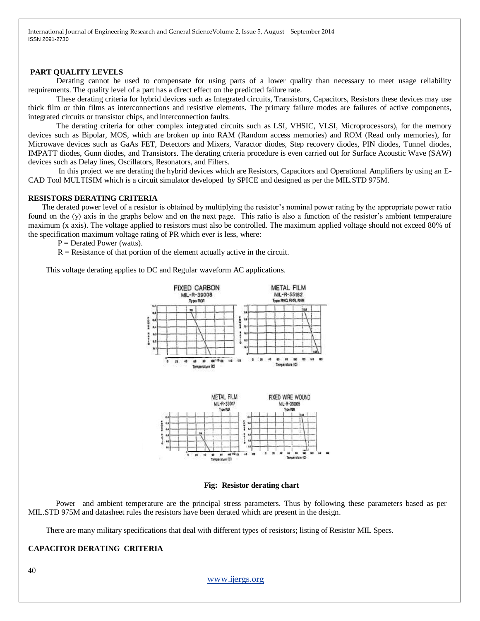#### **PART QUALITY LEVELS**

 Derating cannot be used to compensate for using parts of a lower quality than necessary to meet usage reliability requirements. The quality level of a part has a direct effect on the predicted failure rate.

These derating criteria for hybrid devices such as Integrated circuits, Transistors, Capacitors, Resistors these devices may use thick film or thin films as interconnections and resistive elements. The primary failure modes are failures of active components, integrated circuits or transistor chips, and interconnection faults.

 The derating criteria for other complex integrated circuits such as LSI, VHSIC, VLSI, Microprocessors), for the memory devices such as Bipolar, MOS, which are broken up into RAM (Random access memories) and ROM (Read only memories), for Microwave devices such as GaAs FET, Detectors and Mixers, Varactor diodes, Step recovery diodes, PIN diodes, Tunnel diodes, IMPATT diodes, Gunn diodes, and Transistors. The derating criteria procedure is even carried out for Surface Acoustic Wave (SAW) devices such as Delay lines, Oscillators, Resonators, and Filters.

 In this project we are derating the hybrid devices which are Resistors, Capacitors and Operational Amplifiers by using an E-CAD Tool MULTISIM which is a circuit simulator developed by SPICE and designed as per the MIL.STD 975M.

#### **RESISTORS DERATING CRITERIA**

 The derated power level of a resistor is obtained by multiplying the resistor's nominal power rating by the appropriate power ratio found on the (y) axis in the graphs below and on the next page. This ratio is also a function of the resistor's ambient temperature maximum (x axis). The voltage applied to resistors must also be controlled. The maximum applied voltage should not exceed 80% of the specification maximum voltage rating of PR which ever is less, where:

 $P = Derated Power (watts).$ 

 $R =$ Resistance of that portion of the element actually active in the circuit.

This voltage derating applies to DC and Regular waveform AC applications.



**Fig: Resistor derating chart**

 Power and ambient temperature are the principal stress parameters. Thus by following these parameters based as per MIL.STD 975M and datasheet rules the resistors have been derated which are present in the design.

There are many military specifications that deal with different types of resistors; listing of Resistor MIL Specs.

# **CAPACITOR DERATING CRITERIA**

40

## [www.ijergs.org](http://www.ijergs.org/)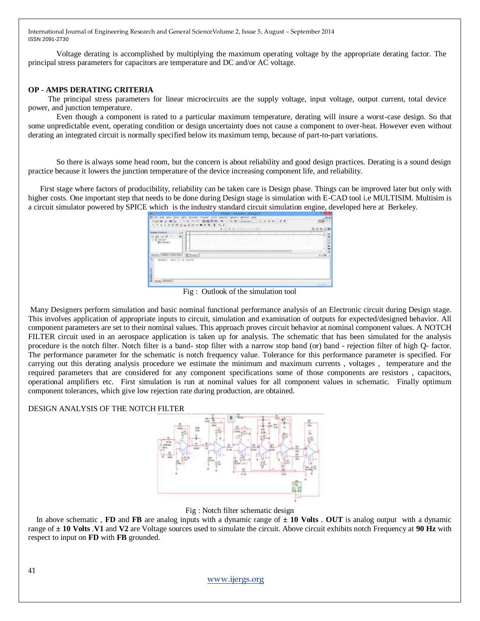Voltage derating is accomplished by multiplying the maximum operating voltage by the appropriate derating factor. The principal stress parameters for capacitors are temperature and DC and/or AC voltage.

# **OP - AMPS DERATING CRITERIA**

 The principal stress parameters for linear microcircuits are the supply voltage, input voltage, output current, total device power, and junction temperature.

Even though a component is rated to a particular maximum temperature, derating will insure a worst-case design. So that some unpredictable event, operating condition or design uncertainty does not cause a component to over-heat. However even without derating an integrated circuit is normally specified below its maximum temp, because of part-to-part variations.

So there is always some head room, but the concern is about reliability and good design practices. Derating is a sound design practice because it lowers the junction temperature of the device increasing component life, and reliability.

 First stage where factors of producibility, reliability can be taken care is Design phase. Things can be improved later but only with higher costs. One important step that needs to be done during Design stage is simulation with E-CAD tool i.e MULTISIM. Multisim is a circuit simulator powered by SPICE which is the industry standard circuit simulation engine, developed here at Berkeley.

| <b><i><u>PERSONAL PROPERTY AND IN THE STATE OF THE STATE OF THE STATE OF THE STATE OF THE STATE OF THE STATE OF THE ST</u></i></b> |                                                                                                                                                                                                                     |        |
|------------------------------------------------------------------------------------------------------------------------------------|---------------------------------------------------------------------------------------------------------------------------------------------------------------------------------------------------------------------|--------|
|                                                                                                                                    | and the company's property of the com-<br>A cells at helping monitor                                                                                                                                                |        |
| THE REPORT OF REAL PROP<br>ıн                                                                                                      | _____<br>____<br>______                                                                                                                                                                                             |        |
| .<br>___                                                                                                                           | .<br>---------------------------<br>process the contract state of the contract state of the field of<br>---------------------<br>---------<br>.<br>.<br>.<br>.<br><b><i>B. L. B. B. L. B. D. L. Harris</i></b><br>. | 딐<br>. |
|                                                                                                                                    |                                                                                                                                                                                                                     |        |
|                                                                                                                                    |                                                                                                                                                                                                                     |        |
| <b>MORE</b><br>- 신화가 CV/! Knh                                                                                                      |                                                                                                                                                                                                                     |        |

Fig : Outlook of the simulation tool

Many Designers perform simulation and basic nominal functional performance analysis of an Electronic circuit during Design stage. This involves application of appropriate inputs to circuit, simulation and examination of outputs for expected/designed behavior. All component parameters are set to their nominal values. This approach proves circuit behavior at nominal component values. A NOTCH FILTER circuit used in an aerospace application is taken up for analysis. The schematic that has been simulated for the analysis procedure is the notch filter. Notch filter is a band- stop filter with a narrow stop band (or) band - rejection filter of high Q- factor. The performance parameter for the schematic is notch frequency value. Tolerance for this performance parameter is specified. For carrying out this derating analysis procedure we estimate the minimum and maximum currents , voltages , temperature and the required parameters that are considered for any component specifications some of those components are resistors , capacitors, operational amplifiers etc. First simulation is run at nominal values for all component values in schematic. Finally optimum component tolerances, which give low rejection rate during production, are obtained.

# DESIGN ANALYSIS OF THE NOTCH FILTER



Fig : Notch filter schematic design

 In above schematic , **FD** and **FB** are analog inputs with a dynamic range of **± 10 Volts** . **OUT** is analog output with a dynamic range of **± 10 Volts** .**V1** and **V2** are Voltage sources used to simulate the circuit. Above circuit exhibits notch Frequency at **90 Hz** with respect to input on **FD** with **FB** grounded.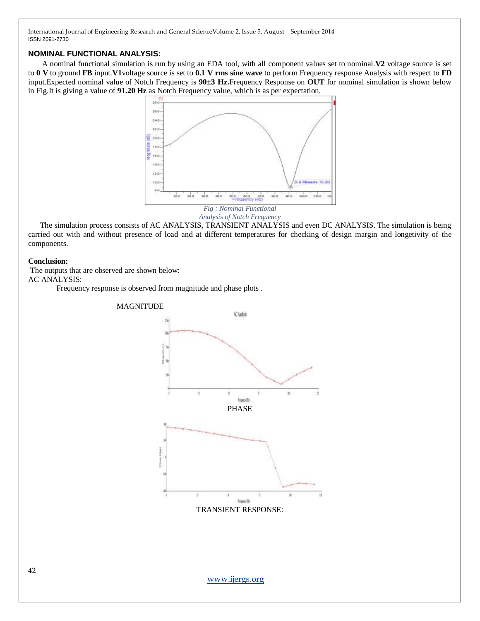# **NOMINAL FUNCTIONAL ANALYSIS:**

 A nominal functional simulation is run by using an EDA tool, with all component values set to nominal.**V2** voltage source is set to **0 V** to ground **FB** input.**V1**voltage source is set to **0.1 V rms sine wave** to perform Frequency response Analysis with respect to **FD** input.Expected nominal value of Notch Frequency is **90±3 Hz.**Frequency Response on **OUT** for nominal simulation is shown below in Fig.It is giving a value of **91.20 Hz** as Notch Frequency value, which is as per expectation.





 The simulation process consists of AC ANALYSIS, TRANSIENT ANALYSIS and even DC ANALYSIS. The simulation is being carried out with and without presence of load and at different temperatures for checking of design margin and longetivity of the components.

### **Conclusion:**

The outputs that are observed are shown below: AC ANALYSIS:

Frequency response is observed from magnitude and phase plots .